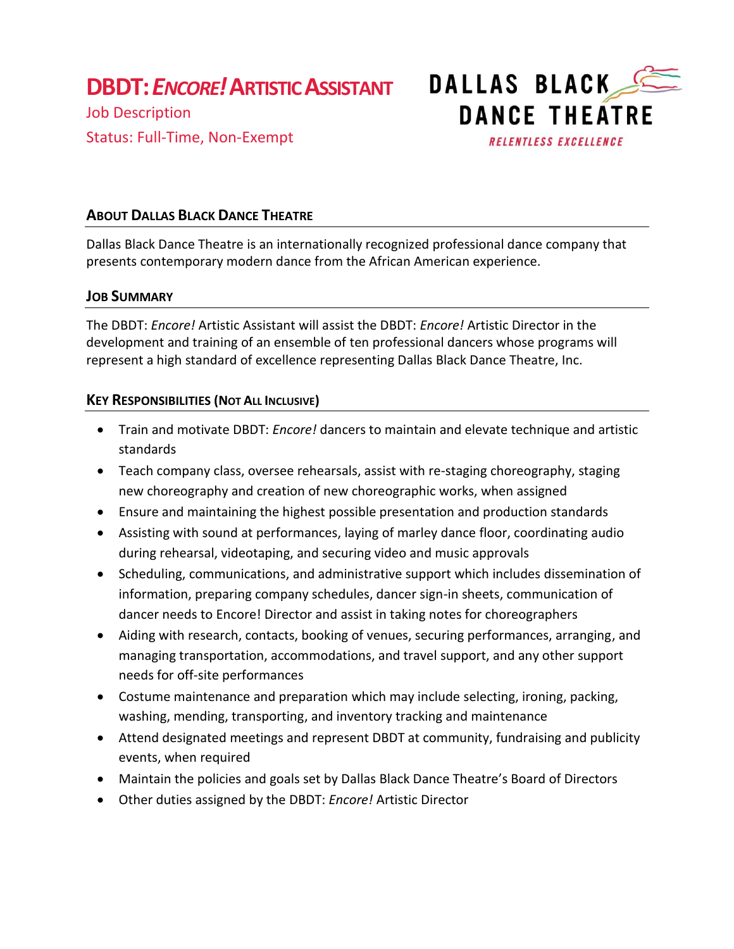**DBDT:***ENCORE!***ARTISTIC ASSISTANT**

Job Description Status: Full-Time, Non-Exempt



## **ABOUT DALLAS BLACK DANCE THEATRE**

Dallas Black Dance Theatre is an internationally recognized professional dance company that presents contemporary modern dance from the African American experience.

## **JOB SUMMARY**

The DBDT: *Encore!* Artistic Assistant will assist the DBDT: *Encore!* Artistic Director in the development and training of an ensemble of ten professional dancers whose programs will represent a high standard of excellence representing Dallas Black Dance Theatre, Inc.

#### **KEY RESPONSIBILITIES (NOT ALL INCLUSIVE)**

- Train and motivate DBDT: *Encore!* dancers to maintain and elevate technique and artistic standards
- Teach company class, oversee rehearsals, assist with re-staging choreography, staging new choreography and creation of new choreographic works, when assigned
- Ensure and maintaining the highest possible presentation and production standards
- Assisting with sound at performances, laying of marley dance floor, coordinating audio during rehearsal, videotaping, and securing video and music approvals
- Scheduling, communications, and administrative support which includes dissemination of information, preparing company schedules, dancer sign-in sheets, communication of dancer needs to Encore! Director and assist in taking notes for choreographers
- Aiding with research, contacts, booking of venues, securing performances, arranging, and managing transportation, accommodations, and travel support, and any other support needs for off-site performances
- Costume maintenance and preparation which may include selecting, ironing, packing, washing, mending, transporting, and inventory tracking and maintenance
- Attend designated meetings and represent DBDT at community, fundraising and publicity events, when required
- Maintain the policies and goals set by Dallas Black Dance Theatre's Board of Directors
- Other duties assigned by the DBDT: *Encore!* Artistic Director